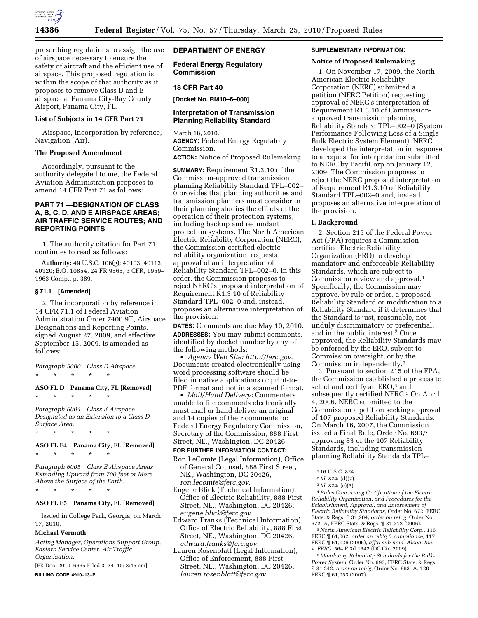

prescribing regulations to assign the use of airspace necessary to ensure the safety of aircraft and the efficient use of airspace. This proposed regulation is within the scope of that authority as it proposes to remove Class D and E airspace at Panama City-Bay County Airport, Panama City, FL.

#### **List of Subjects in 14 CFR Part 71**

Airspace, Incorporation by reference, Navigation (Air).

## **The Proposed Amendment**

Accordingly, pursuant to the authority delegated to me, the Federal Aviation Administration proposes to amend 14 CFR Part 71 as follows:

# **PART 71 —DESIGNATION OF CLASS A, B, C, D, AND E AIRSPACE AREAS; AIR TRAFFIC SERVICE ROUTES; AND REPORTING POINTS**

1. The authority citation for Part 71 continues to read as follows:

**Authority:** 49 U.S.C. 106(g); 40103, 40113, 40120; E.O. 10854, 24 FR 9565, 3 CFR, 1959– 1963 Comp., p. 389.

#### **§ 71.1 [Amended]**

2. The incorporation by reference in 14 CFR 71.1 of Federal Aviation Administration Order 7400.9T, Airspace Designations and Reporting Points, signed August 27, 2009, and effective September 15, 2009, is amended as follows:

*Paragraph 5000 Class D Airspace.*  \* \* \* \* \*

**ASO FL D Panama City, FL [Removed]** 

\* \* \* \* \*

*Paragraph 6004 Class E Airspace Designated as an Extension to a Class D Surface Area.* 

\* \* \* \* \*

\* \* \* \* \*

# **ASO FL E4 Panama City, FL [Removed]**

\* \* \* \* \*

*Paragraph 6005 Class E Airspace Areas Extending Upward from 700 feet or More Above the Surface of the Earth.* 

### **ASO FL E5 Panama City, FL [Removed]**

Issued in College Park, Georgia, on March 17, 2010.

#### **Michael Vermuth,**

*Acting Manager, Operations Support Group, Eastern Service Center, Air Traffic Organization.* 

[FR Doc. 2010–6665 Filed 3–24–10; 8:45 am] **BILLING CODE 4910–13–P** 

## **DEPARTMENT OF ENERGY**

**Federal Energy Regulatory Commission** 

### **18 CFR Part 40**

**[Docket No. RM10–6–000]** 

### **Interpretation of Transmission Planning Reliability Standard**

March 18, 2010. **AGENCY:** Federal Energy Regulatory Commission. **ACTION:** Notice of Proposed Rulemaking.

**SUMMARY:** Requirement R1.3.10 of the Commission-approved transmission planning Reliability Standard TPL–002– 0 provides that planning authorities and transmission planners must consider in their planning studies the effects of the operation of their protection systems, including backup and redundant protection systems. The North American Electric Reliability Corporation (NERC), the Commission-certified electric reliability organization, requests approval of an interpretation of Reliability Standard TPL–002–0. In this order, the Commission proposes to reject NERC's proposed interpretation of Requirement R1.3.10 of Reliability Standard TPL–002–0 and, instead, proposes an alternative interpretation of the provision.

**DATES:** Comments are due May 10, 2010. **ADDRESSES:** You may submit comments, identified by docket number by any of the following methods:

• *Agency Web Site: http://ferc.gov*. Documents created electronically using word processing software should be filed in native applications or print-to-PDF format and not in a scanned format.

• *Mail/Hand Delivery:* Commenters unable to file comments electronically must mail or hand deliver an original and 14 copies of their comments to: Federal Energy Regulatory Commission, Secretary of the Commission, 888 First Street, NE., Washington, DC 20426.

## **FOR FURTHER INFORMATION CONTACT:**

- Ron LeComte (Legal Information), Office of General Counsel, 888 First Street, NE., Washington, DC 20426, *ron.lecomte@ferc.gov*.
- Eugene Blick (Technical Information), Office of Electric Reliability, 888 First Street, NE., Washington, DC 20426, *eugene.blick@ferc.gov*.
- Edward Franks (Technical Information), Office of Electric Reliability, 888 First Street, NE., Washington, DC 20426, *edward.franks@ferc.gov*.
- Lauren Rosenblatt (Legal Information), Office of Enforcement, 888 First Street, NE., Washington, DC 20426, *lauren.rosenblatt@ferc.gov*.

### **SUPPLEMENTARY INFORMATION:**

#### **Notice of Proposed Rulemaking**

1. On November 17, 2009, the North American Electric Reliability Corporation (NERC) submitted a petition (NERC Petition) requesting approval of NERC's interpretation of Requirement R1.3.10 of Commissionapproved transmission planning Reliability Standard TPL–002–0 (System Performance Following Loss of a Single Bulk Electric System Element). NERC developed the interpretation in response to a request for interpretation submitted to NERC by PacifiCorp on January 12, 2009. The Commission proposes to reject the NERC proposed interpretation of Requirement R1.3.10 of Reliability Standard TPL–002–0 and, instead, proposes an alternative interpretation of the provision.

#### **I. Background**

2. Section 215 of the Federal Power Act (FPA) requires a Commissioncertified Electric Reliability Organization (ERO) to develop mandatory and enforceable Reliability Standards, which are subject to Commission review and approval.1 Specifically, the Commission may approve, by rule or order, a proposed Reliability Standard or modification to a Reliability Standard if it determines that the Standard is just, reasonable, not unduly discriminatory or preferential, and in the public interest.2 Once approved, the Reliability Standards may be enforced by the ERO, subject to Commission oversight, or by the Commission independently.3

3. Pursuant to section 215 of the FPA, the Commission established a process to select and certify an ERO,<sup>4</sup> and subsequently certified NERC.5 On April 4, 2006, NERC submitted to the Commission a petition seeking approval of 107 proposed Reliability Standards. On March 16, 2007, the Commission issued a Final Rule, Order No. 693,6 approving 83 of the 107 Reliability Standards, including transmission planning Reliability Standards TPL–

4*Rules Concerning Certification of the Electric Reliability Organization; and Procedures for the Establishment, Approval, and Enforcement of Electric Reliability Standards,* Order No. 672, FERC Stats. & Regs. ¶ 31,204, *order on reh'g,* Order No. 672–A, FERC Stats. & Regs. ¶ 31,212 (2006).

5*North American Electric Reliability Corp.,* 116 FERC ¶ 61,062, *order on reh'g & compliance,* 117 FERC ¶ 61,126 (2006), *aff'd sub nom. Alcoa, Inc. v. FERC,* 564 F.3d 1342 (DC Cir. 2009).

6 *Mandatory Reliability Standards for the Bulk-Power System,* Order No. 693, FERC Stats. & Regs. ¶ 31,242, *order on reh'g,* Order No. 693–A, 120 FERC ¶ 61,053 (2007).

<sup>1</sup> 16 U.S.C. 824.

<sup>2</sup> *Id.* 824o(d)(2).

<sup>3</sup> *Id.* 824o(e)(3).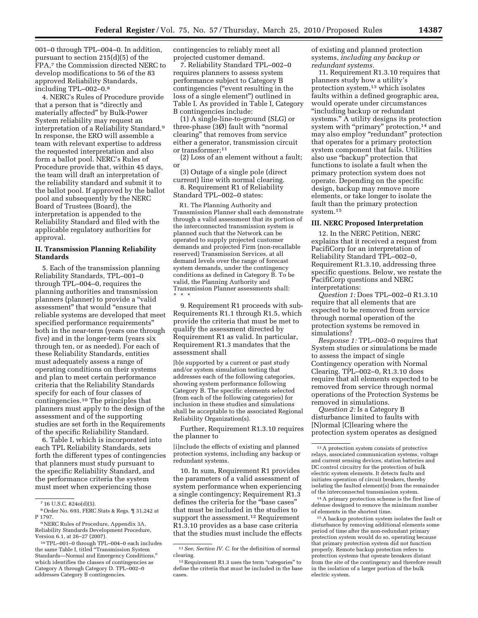001–0 through TPL–004–0. In addition, pursuant to section 215(d)(5) of the FPA,7 the Commission directed NERC to develop modifications to 56 of the 83 approved Reliability Standards, including TPL–002–0.8

4. NERC's Rules of Procedure provide that a person that is ''directly and materially affected'' by Bulk-Power System reliability may request an interpretation of a Reliability Standard.9 In response, the ERO will assemble a team with relevant expertise to address the requested interpretation and also form a ballot pool. NERC's Rules of Procedure provide that, within 45 days, the team will draft an interpretation of the reliability standard and submit it to the ballot pool. If approved by the ballot pool and subsequently by the NERC Board of Trustees (Board), the interpretation is appended to the Reliability Standard and filed with the applicable regulatory authorities for approval.

## **II. Transmission Planning Reliability Standards**

5. Each of the transmission planning Reliability Standards, TPL–001–0 through TPL–004–0, requires the planning authorities and transmission planners (planner) to provide a ''valid assessment'' that would ''ensure that reliable systems are developed that meet specified performance requirements'' both in the near-term (years one through five) and in the longer-term (years six through ten, or as needed). For each of these Reliability Standards, entities must adequately assess a range of operating conditions on their systems and plan to meet certain performance criteria that the Reliability Standards specify for each of four classes of contingencies.10 The principles that planners must apply to the design of the assessment and of the supporting studies are set forth in the Requirements of the specific Reliability Standard.

6. Table I, which is incorporated into each TPL Reliability Standards, sets forth the different types of contingencies that planners must study pursuant to the specific Reliability Standard, and the performance criteria the system must meet when experiencing those

contingencies to reliably meet all projected customer demand.

7. Reliability Standard TPL–002–0 requires planners to assess system performance subject to Category B contingencies (''event resulting in the loss of a single element'') outlined in Table I. As provided in Table I, Category B contingencies include:

(1) A single-line-to-ground (SLG) or three-phase  $(3\emptyset)$  fault with "normal" clearing'' that removes from service either a generator, transmission circuit or transformer;11

(2) Loss of an element without a fault; or

(3) Outage of a single pole (direct current) line with normal clearing. 8. Requirement R1 of Reliability Standard TPL–002–0 states:

R1. The Planning Authority and Transmission Planner shall each demonstrate through a valid assessment that its portion of the interconnected transmission system is planned such that the Network can be operated to supply projected customer demands and projected Firm (non-recallable reserved) Transmission Services, at all demand levels over the range of forecast system demands, under the contingency conditions as defined in Category B. To be valid, the Planning Authority and Transmission Planner assessments shall: \* \* \*

9. Requirement R1 proceeds with sub-Requirements R1.1 through R1.5, which provide the criteria that must be met to qualify the assessment directed by Requirement R1 as valid. In particular, Requirement R1.3 mandates that the assessment shall

[b]e supported by a current or past study and/or system simulation testing that addresses each of the following categories, showing system performance following Category B. The specific elements selected (from each of the following categories) for inclusion in these studies and simulations shall be acceptable to the associated Regional Reliability Organization(s).

Further, Requirement R1.3.10 requires the planner to

[i]nclude the effects of existing and planned protection systems, including any backup or redundant systems.

10. In sum, Requirement R1 provides the parameters of a valid assessment of system performance when experiencing a single contingency; Requirement R1.3 defines the criteria for the "base cases" that must be included in the studies to support the assessment.<sup>12</sup> Requirement R1.3.10 provides as a base case criteria that the studies must include the effects of existing and planned protection systems, *including any backup or redundant systems.* 

11. Requirement R1.3.10 requires that planners study how a utility's protection system,13 which isolates faults within a defined geographic area, would operate under circumstances ''including backup or redundant systems.'' A utility designs its protection system with "primary" protection,<sup>14</sup> and may also employ ''redundant'' protection that operates for a primary protection system component that fails. Utilities also use ''backup'' protection that functions to isolate a fault when the primary protection system does not operate. Depending on the specific design, backup may remove more elements, or take longer to isolate the fault than the primary protection system.15

#### **III. NERC Proposed Interpretation**

12. In the NERC Petition, NERC explains that it received a request from PacifiCorp for an interpretation of Reliability Standard TPL–002–0, Requirement R1.3.10, addressing three specific questions. Below, we restate the PacifiCorp questions and NERC interpretations:

*Question 1:* Does TPL–002–0 R1.3.10 require that all elements that are expected to be removed from service through normal operation of the protection systems be removed in simulations?

*Response 1:* TPL–002–0 requires that System studies or simulations be made to assess the impact of single Contingency operation with Normal Clearing. TPL–002–0, R1.3.10 does require that all elements expected to be removed from service through normal operations of the Protection Systems be removed in simulations.

*Question 2:* Is a Category B disturbance limited to faults with [N]ormal [C]learing where the protection system operates as designed

14A primary protection scheme is the first line of defense designed to remove the minimum number of elements in the shortest time.

15A backup protection system isolates the fault or disturbance by removing additional elements some period of time after the non-redundant primary protection system would do so, operating because that primary protection system did not function properly. Remote backup protection refers to protection systems that operate breakers distant from the site of the contingency and therefore result in the isolation of a larger portion of the bulk electric system.

<sup>7</sup> 16 U.S.C. 824o(d)(5).

<sup>8</sup>Order No. 693, FERC Stats & Regs. ¶ 31,242 at P 1797.

<sup>9</sup>NERC Rules of Procedure, Appendix 3A, Reliability Standards Development Procedure, Version 6.1, at 26–27 (2007).

<sup>10</sup>TPL–001–0 through TPL–004–0 each includes the same Table I, titled ''Transmission System Standards—Normal and Emergency Conditions,'' which identifies the classes of contingencies as Category A through Category D. TPL–002–0 addresses Category B contingencies.

<sup>11</sup>*See, Section IV. C.* for the definition of normal clearing.

<sup>&</sup>lt;sup>12</sup> Requirement R1.3 uses the term "categories" to define the criteria that must be included in the base cases.

<sup>13</sup>A protection system consists of protective relays, associated communication systems, voltage and current sensing devices, station batteries and DC control circuitry for the protection of bulk electric system elements. It detects faults and initiates operation of circuit breakers, thereby isolating the faulted element(s) from the remainder of the interconnected transmission system.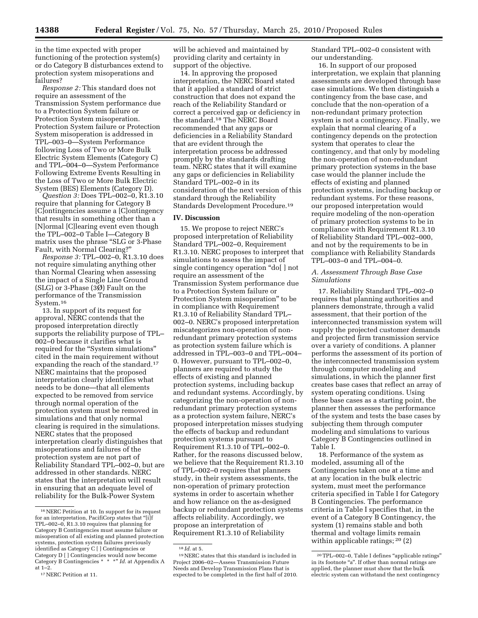in the time expected with proper functioning of the protection system(s) or do Category B disturbances extend to protection system misoperations and failures?

*Response 2:* This standard does not require an assessment of the Transmission System performance due to a Protection System failure or Protection System misoperation. Protection System failure or Protection System misoperation is addressed in TPL–003–0—System Performance following Loss of Two or More Bulk Electric System Elements (Category C) and TPL–004–0—System Performance Following Extreme Events Resulting in the Loss of Two or More Bulk Electric System (BES) Elements (Category D).

*Question 3:* Does TPL–002–0, R1.3.10 require that planning for Category B [C]ontingencies assume a [C]ontingency that results in something other than a [N]ormal [C]learing event even though the TPL–002–0 Table I—Category B matrix uses the phrase "SLG or 3-Phase Fault, with Normal Clearing?''

*Response 3:* TPL–002–0, R1.3.10 does not require simulating anything other than Normal Clearing when assessing the impact of a Single Line Ground (SLG) or 3-Phase  $(3\emptyset)$  Fault on the performance of the Transmission System.16

13. In support of its request for approval, NERC contends that the proposed interpretation directly supports the reliability purpose of TPL– 002–0 because it clarifies what is required for the ''System simulations'' cited in the main requirement without expanding the reach of the standard.<sup>17</sup> NERC maintains that the proposed interpretation clearly identifies what needs to be done—that all elements expected to be removed from service through normal operation of the protection system must be removed in simulations and that only normal clearing is required in the simulations. NERC states that the proposed interpretation clearly distinguishes that misoperations and failures of the protection system are not part of Reliability Standard TPL–002–0, but are addressed in other standards. NERC states that the interpretation will result in ensuring that an adequate level of reliability for the Bulk-Power System

will be achieved and maintained by providing clarity and certainty in support of the objective.

14. In approving the proposed interpretation, the NERC Board stated that it applied a standard of strict construction that does not expand the reach of the Reliability Standard or correct a perceived gap or deficiency in the standard.18 The NERC Board recommended that any gaps or deficiencies in a Reliability Standard that are evident through the interpretation process be addressed promptly by the standards drafting team. NERC states that it will examine any gaps or deficiencies in Reliability Standard TPL–002–0 in its consideration of the next version of this standard through the Reliability Standards Development Procedure.19

#### **IV. Discussion**

15. We propose to reject NERC's proposed interpretation of Reliability Standard TPL–002–0, Requirement R1.3.10. NERC proposes to interpret that simulations to assess the impact of single contingency operation "do[ ] not require an assessment of the Transmission System performance due to a Protection System failure or Protection System misoperation'' to be in compliance with Requirement R1.3.10 of Reliability Standard TPL– 002–0. NERC's proposed interpretation miscategorizes non-operation of nonredundant primary protection systems as protection system failure which is addressed in TPL–003–0 and TPL–004– 0. However, pursuant to TPL–002–0, planners are required to study the effects of existing and planned protection systems, including backup and redundant systems. Accordingly, by categorizing the non-operation of nonredundant primary protection systems as a protection system failure, NERC's proposed interpretation misses studying the effects of backup and redundant protection systems pursuant to Requirement R1.3.10 of TPL–002–0. Rather, for the reasons discussed below, we believe that the Requirement R1.3.10 of TPL–002–0 requires that planners study, in their system assessments, the non-operation of primary protection systems in order to ascertain whether and how reliance on the as-designed backup or redundant protection systems affects reliability. Accordingly, we propose an interpretation of Requirement R1.3.10 of Reliability

Standard TPL–002–0 consistent with our understanding.

16. In support of our proposed interpretation, we explain that planning assessments are developed through base case simulations. We then distinguish a contingency from the base case, and conclude that the non-operation of a non-redundant primary protection system is not a contingency. Finally, we explain that normal clearing of a contingency depends on the protection system that operates to clear the contingency, and that only by modeling the non-operation of non-redundant primary protection systems in the base case would the planner include the effects of existing and planned protection systems, including backup or redundant systems. For these reasons, our proposed interpretation would require modeling of the non-operation of primary protection systems to be in compliance with Requirement R1.3.10 of Reliability Standard TPL–002–000, and not by the requirements to be in compliance with Reliability Standards TPL–003–0 and TPL–004–0.

## *A. Assessment Through Base Case Simulations*

17. Reliability Standard TPL–002–0 requires that planning authorities and planners demonstrate, through a valid assessment, that their portion of the interconnected transmission system will supply the projected customer demands and projected firm transmission service over a variety of conditions. A planner performs the assessment of its portion of the interconnected transmission system through computer modeling and simulations, in which the planner first creates base cases that reflect an array of system operating conditions. Using these base cases as a starting point, the planner then assesses the performance of the system and tests the base cases by subjecting them through computer modeling and simulations to various Category B Contingencies outlined in Table I.

18. Performance of the system as modeled, assuming all of the Contingencies taken one at a time and at any location in the bulk electric system, must meet the performance criteria specified in Table I for Category B Contingencies. The performance criteria in Table I specifies that, in the event of a Category B Contingency, the system (1) remains stable and both thermal and voltage limits remain within applicable ratings; 20 (2)

<sup>16</sup>NERC Petition at 10. In support for its request for an interpretation, PacifiCorp states that ''[i]f TPL–002–0, R1.3.10 requires that planning for Category B Contingencies must assume failure or misoperation of all existing and planned protection systems, protection system failures previously identified as Category C [ ] Contingencies or Category D [ ] Contingencies would now become Category B Contingencies \* \* \*'' *Id.* at Appendix A at 1–2.

<sup>17</sup>NERC Petition at 11.

<sup>18</sup> *Id.* at 5.

<sup>19</sup>NERC states that this standard is included in Project 2006–02—Assess Transmission Future Needs and Develop Transmission Plans that is expected to be completed in the first half of 2010.

<sup>20</sup>TPL–002–0, Table I defines ''applicable ratings'' in its footnote "a". If other than normal ratings are applied, the planner must show that the bulk electric system can withstand the next contingency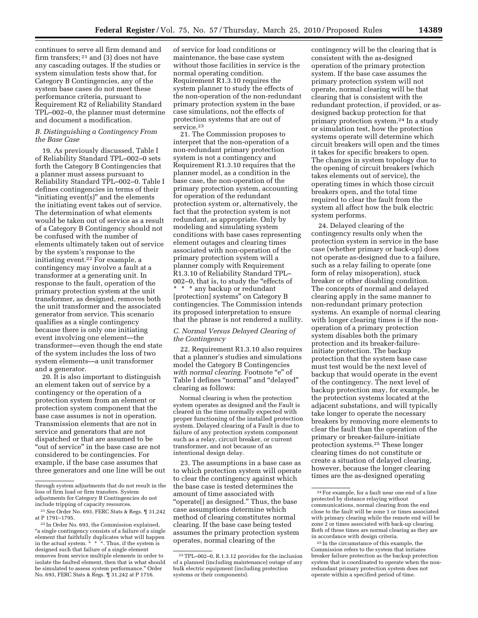continues to serve all firm demand and firm transfers; 21 and (3) does not have any cascading outages. If the studies or system simulation tests show that, for Category B Contingencies, any of the system base cases do not meet these performance criteria, pursuant to Requirement R2 of Reliability Standard TPL–002–0, the planner must determine and document a modification.

## *B. Distinguishing a Contingency From the Base Case*

19. As previously discussed, Table I of Reliability Standard TPL–002–0 sets forth the Category B Contingencies that a planner must assess pursuant to Reliability Standard TPL–002–0. Table I defines contingencies in terms of their "initiating event(s)" and the elements the initiating event takes out of service. The determination of what elements would be taken out of service as a result of a Category B Contingency should not be confused with the number of elements ultimately taken out of service by the system's response to the initiating event.22 For example, a contingency may involve a fault at a transformer at a generating unit. In response to the fault, operation of the primary protection system at the unit transformer, as designed, removes both the unit transformer and the associated generator from service. This scenario qualifies as a single contingency because there is only one initiating event involving one element—the transformer—even though the end state of the system includes the loss of two system elements—a unit transformer and a generator.

20. It is also important to distinguish an element taken out of service by a contingency or the operation of a protection system from an element or protection system component that the base case assumes is not in operation. Transmission elements that are not in service and generators that are not dispatched or that are assumed to be "out of service" in the base case are not considered to be contingencies. For example, if the base case assumes that three generators and one line will be out

of service for load conditions or maintenance, the base case system without those facilities in service is the normal operating condition. Requirement R1.3.10 requires the system planner to study the effects of the non-operation of the non-redundant primary protection system in the base case simulations, not the effects of protection systems that are out of service.<sup>23</sup>

21. The Commission proposes to interpret that the non-operation of a non-redundant primary protection system is not a contingency and Requirement R1.3.10 requires that the planner model, as a condition in the base case, the non-operation of the primary protection system, accounting for operation of the redundant protection system or, alternatively, the fact that the protection system is not redundant, as appropriate. Only by modeling and simulating system conditions with base cases representing element outages and clearing times associated with non-operation of the primary protection system will a planner comply with Requirement R1.3.10 of Reliability Standard TPL– 002–0, that is, to study the "effects of \* \* \* any backup or redundant [protection] systems'' on Category B contingencies. The Commission intends its proposed interpretation to ensure that the phrase is not rendered a nullity.

## *C. Normal Versus Delayed Clearing of the Contingency*

22. Requirement R1.3.10 also requires that a planner's studies and simulations model the Category B Contingencies *with normal clearing.* Footnote "e" of Table I defines ''normal'' and ''delayed'' clearing as follows:

Normal clearing is when the protection system operates as designed and the Fault is cleared in the time normally expected with proper functioning of the installed protection system. Delayed clearing of a Fault is due to failure of any protection system component such as a relay, circuit breaker, or current transformer, and not because of an intentional design delay.

23. The assumptions in a base case as to which protection system will operate to clear the contingency against which the base case is tested determines the amount of time associated with "operate[] as designed." Thus, the base case assumptions determine which method of clearing constitutes normal clearing. If the base case being tested assumes the primary protection system operates, normal clearing of the

contingency will be the clearing that is consistent with the as-designed operation of the primary protection system. If the base case assumes the primary protection system will not operate, normal clearing will be that clearing that is consistent with the redundant protection, if provided, or asdesigned backup protection for that primary protection system.24 In a study or simulation test, how the protection systems operate will determine which circuit breakers will open and the times it takes for specific breakers to open. The changes in system topology due to the opening of circuit breakers (which takes elements out of service), the operating times in which those circuit breakers open, and the total time required to clear the fault from the system all affect how the bulk electric system performs.

24. Delayed clearing of the contingency results only when the protection system in service in the base case (whether primary or back-up) does not operate as-designed due to a failure, such as a relay failing to operate (one form of relay misoperation), stuck breaker or other disabling condition. The concepts of normal and delayed clearing apply in the same manner to non-redundant primary protection systems. An example of normal clearing with longer clearing times is if the nonoperation of a primary protection system disables both the primary protection and its breaker-failureinitiate protection. The backup protection that the system base case must test would be the next level of backup that would operate in the event of the contingency. The next level of backup protection may, for example, be the protection systems located at the adjacent substations, and will typically take longer to operate the necessary breakers by removing more elements to clear the fault than the operation of the primary or breaker-failure-initiate protection systems.25 These longer clearing times do not constitute or create a situation of delayed clearing, however, because the longer clearing times are the as-designed operating

through system adjustments that do not result in the loss of firm load or firm transfers. System adjustments for Category B Contingencies do not include tripping of capacity resources.

<sup>21</sup>*See* Order No. 693, FERC Stats & Regs. ¶ 31,242 at P 1791–1795.

<sup>22</sup> In Order No. 693, the Commission explained, "a single contingency consists of a failure of a single element that faithfully duplicates what will happen in the actual system. \* \* \*. Thus, if the system is designed such that failure of a single element removes from service multiple elements in order to isolate the faulted element, then that is what should be simulated to assess system performance.'' Order No. 693, FERC Stats & Regs. ¶ 31,242 at P 1716.

<sup>23</sup>TPL–002–0, R.1.3.12 provides for the inclusion of a planned (including maintenance) outage of any bulk electric equipment (including protection systems or their components).

<sup>24</sup>For example, for a fault near one end of a line protected by distance relaying without communications, normal clearing from the end close to the fault will be zone 1 or times associated with primary clearing while the remote end will be zone 2 or times associated with back-up clearing. Both of these times are normal clearing as they are in accordance with design criteria.

<sup>25</sup> In the circumstance of this example, the Commission refers to the system that initiates breaker failure protection as the backup protection system that is coordinated to operate when the nonredundant primary protection system does not operate within a specified period of time.